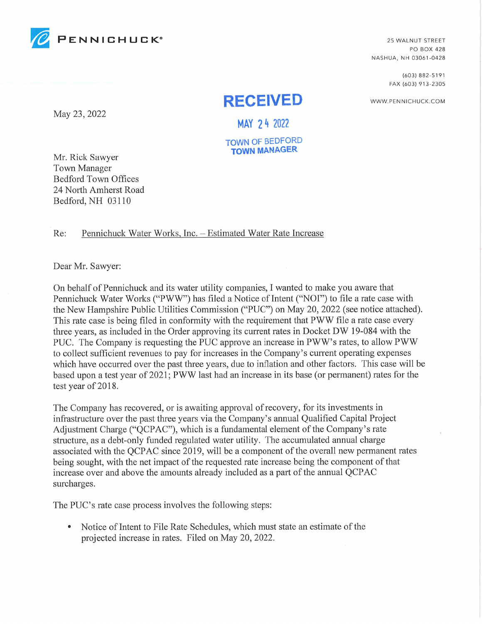

PO BOX 428 NASHUA, NH 03061-0428

> (603) 882-5191 FAX (603) 913-2305

WWW.PENNICHUCK.COM

# **RECEIVED**

May 23, 2022 MAY 24 2022

TOWN OF BEDFORD TOWN MANAGER

Mr. Rick Sawyer Town Manager Bedford Town Offices 24 North Amherst Road Bedford, NH 03110

Re: Pennichuck Water Works, Inc. - Estimated Water Rate Increase

Dear Mr. Sawyer:

On behalf of Pennichuck and its water utility companies, I wanted to make you aware that Pennichuck Water Works ("PWW") has filed a Notice of Intent ("NOI") to file a rate case with the New Hampshire Public Utilities Commission ("PUC") on May 20, 2022 (see notice attached). This rate case is being filed in conformity with the requirement that PWW file a rate case every three years, as included in the Order approving its current rates in Docket DW 19-084 with the PUC. The Company is requesting the PUC approve an increase in PWW's rates, to allow PWW to collect sufficient revenues to pay for increases in the Company's current operating expenses which have occurred over the past three years, due to inflation and other factors. This case will be based upon a test year of 2021; PWW last had an increase in its base (or permanent) rates for the test year of 2018.

The Company has recovered, or is awaiting approval of recovery, for its investments in infrastructure over the past three years via the Company's annual Qualified Capital Project Adjustment Charge ("QCPAC"), which is a fundamental element of the Company's rate structure, as a debt-only funded regulated water utility. The accumulated annual charge associated with the QCPAC since 2019, will be a component of the overall new permanent rates being sought, with the net impact of the requested rate increase being the component of that increase over and above the amounts already included as a part of the annual QCPAC surcharges.

The PUC's rate case process involves the following steps:

• Notice of Intent to File Rate Schedules, which must state an estimate of the projected increase in rates. Filed on May 20, 2022.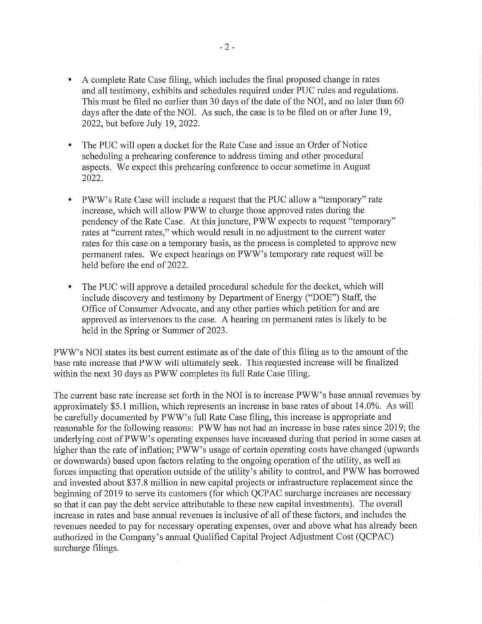- A complete Rate Case filing, which includes the final proposed change in rates and all testimony, exhibits and schedules required under PUC rules and regulations. This must be filed no earlier than 30 days of the date of the N01, and no later than 60 days after the date of the N01. As such, the case is to be filed on or after June 19, 2022, but before July 19, 2022.
- The PUC will open a docket for the Rate Case and issue an Order of Notice scheduling a prehearing conference to address timing and other procedural aspects. We expect this prehearing conference to occur sometime in August 2022.
- 0 PWW's Rate Case will include a request that the PUC allow a "temporary" rate increase, which will allow PWW to charge those approved rates during the pendency of the Rate Case. At this juncture, PWW expects to request "temporary" rates at "current rates," which would result in no adjustment to the current water rates for this case on a temporary basis, as the process is completed to approve new permanent rates. We expect hearings on PWW's temporary rate request will be held before the end of 2022.
- The PUC will approve a detailed procedural schedule for the docket, which will include discovery and testimony by Department of Energy ("DOE") Staff, the Office of Consumer Advocate, and any other parties which petition for and are approved as intervenors to the case. A hearing on permanent rates is likely to be held in the Spring or Summer of 2023.

PWW's N01 states its best current estimate as of the date of this filing as to the amount of the base rate increase that PWW will ultimately seek. This requested increase will be finalized within the next 30 days as PWW completes its full Rate Case filing.

The current base rate increase set forth in the N01 is to increase PWW's base annual revenues by approximately \$5.1 million, which represents an increase in base rates of about 14.0%. As will be carefully documented by PWW's full Rate Case filing, this increase is appropriate and reasonable for the following reasons: PWW has not had an increase in base rates since 2019; the underlying cost of PWW's operating expenses have increased during that period in some cases at higher than the rate of inflation; PWW's usage of certain operating costs have changed (upwards or downwards) based upon factors relating to the ongoing operation of the utility, as well as forces impacting that operation outside of the utility's ability to control, and PWW has borrowed and invested about \$37.8 million in new capital projects or infrastructure replacement since the beginning of 2019 to serve its customers (for which QCPAC surcharge increases are necessary so that it can pay the debt service attributable to these new capital investments). The overall increase in rates and base annual revenues is inclusive of all of these factors, and includes the revenues needed to pay for necessary operating expenses, over and above what has already been authorized in the Company's annual Qualified Capital Project Adjustment Cost (QCPAC) surcharge filings.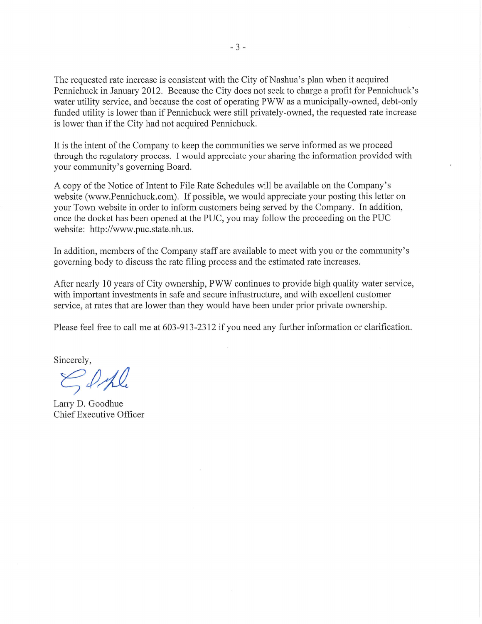The requested rate increase is consistent with the City of Nashua's plan when it acquired Pennichuck in January 2012. Because the City does not seek to charge a profit for Pennichuck's water utility service, and because the cost of operating PWW as a municipally-owned, debt-only funded utility is lower than if Pennichuck were still privately-owned, the requested rate increase is lower than if the City had not acquired Pennichuck.

It is the intent of the Company to keep the communities we serve informed as we proceed through the regulatory process. I would appreciate your sharing the information provided with your community's governing Board.

A copy of the Notice of Intent to File Rate Schedules will be available on the Company's website (www.Pennichuck.com). If possible, we would appreciate your posting this letter on your Town website in order to inform customers being served by the Company. In addition, once the docket has been opened at the PUC, you may follow the proceeding on the PUC website: http://www.puc.state.nh.us.

In addition, members of the Company staff are available to meet with you or the community's governing body to discuss the rate filing process and the estimated rate increases.

After nearly 10 years of City ownership, PWW continues to provide high quality water service, with important investments in safe and secure infrastructure, and with excellent customer service, at rates that are lower than they would have been under prior private ownership.

Please feel free to call me at 603-913-2312 if you need any further information or clarification.

Sincerely,

 $\leq$  only

Larry D. Goodhue Chief Executive Officer